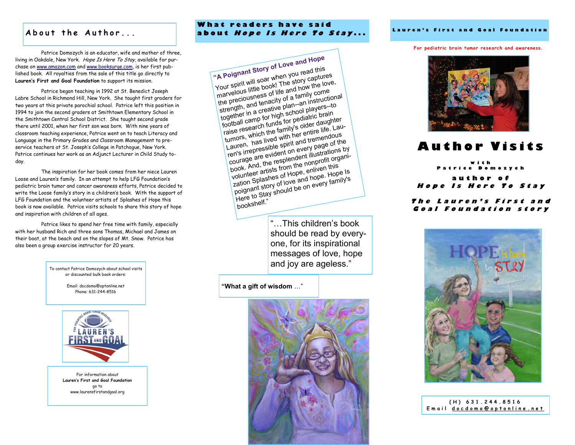Patrice Domozych is an educator, wife and mother of three, living in Oakdale, New York. Hope Is Here To Stay, available for purchase on [www.amazon.com](http://www.amazon.com/) and [www.booksurge.com,](http://www.booksurge.com/) is her first published book. All royalties from the sale of this title go directly to **Lauren's First and Goal Foundation** to support its mission.

Patrice began teaching in 1992 at St. Benedict Joseph Labre School in Richmond Hill, New York. She taught first graders for two years at this private parochial school. Patrice left this position in 1994 to join the second graders at Smithtown Elementary School in the Smithtown Central School District. She taught second grade there until 2001, when her first son was born. With nine years of classroom teaching experience, Patrice went on to teach Literacy and Language in the Primary Grades and Classroom Management to preservice teachers at St. Joseph's College in Patchogue, New York. Patrice continues her work as an Adjunct Lecturer in Child Study today.

The inspiration for her book comes from her niece Lauren Loose and Lauren's family. In an attempt to help LFG Foundation's pediatric brain tumor and cancer awareness efforts, Patrice decided to write the Loose family's story in a children's book. With the support of LFG Foundation and the volunteer artists of Splashes of Hope this book is now available. Patrice visits schools to share this story of hope and inspiration with children of all ages.

Patrice likes to spend her free time with family, especially with her husband Rich and three sons Thomas, Michael and James on their boat, at the beach and on the slopes of Mt. Snow. Patrice has also been a group exercise instructor for 20 years.

> To contact Patrice Domozych about school visits or discounted bulk book orders:

> > Email: docdomo@optonline.net Phone: 631-244-8516



For information about **Lauren's First and Goal Foundation** go to www.laurensfirstandgoal.org

## About the Author... **about** *Hope Is Here To Stay***...** Lauren's First and Goal Foundation **W h a t r e a d e r s h a v e s a i d**

**"A Poignant Story of Love and Hope** Your spirit will soar when you read this marvelous little book! The story captures the preciousness of life and how the love, strength, and tenacity of a family come together in a creative plan--an instructional football camp for high school players--to raise research funds for pediatric brain tumors, which the family's older daughter Lauren, has lived with her entire life. Lauren's irrepressible spirit and tremendous courage are evident on every page of the book. And, the resplendent illustrations by volunteer artists from the nonprofit organization Splashes of Hope, enliven this poignant story of love and hope. Hope Is Here to Stay should be on every family's bookshelf."

> "…This children's book should be read by everyone, for its inspirational messages of love, hope and joy are ageless."

**"What a gift of wisdom** …"



**For pediatric brain tumor research and awareness.**



# **A u t h o r V i s i t s**

**w i t h P** o m o z y c h **a u t h o r o f** Hope Is Here To Stay

## The Lauren's First and Goal Foundation story



| $(H)$ 631.244.8516          |
|-----------------------------|
| Email docdomo@optonline.net |